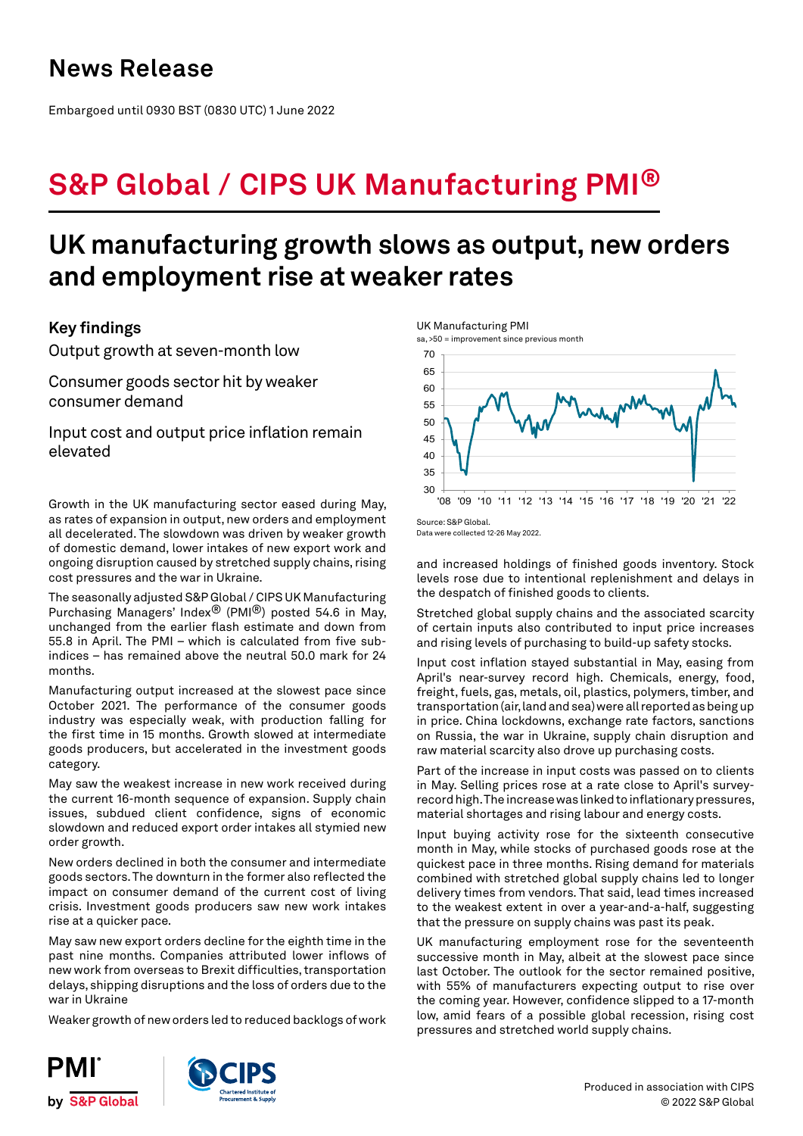## **News Release**

Embargoed until 0930 BST (0830 UTC) 1 June 2022

# **S&P Global / CIPS UK Manufacturing PMI®**

## **UK manufacturing growth slows as output, new orders and employment rise at weaker rates**

## **Key findings**

Output growth at seven-month low

Consumer goods sector hit by weaker consumer demand

Input cost and output price inflation remain elevated

Growth in the UK manufacturing sector eased during May, as rates of expansion in output, new orders and employment all decelerated. The slowdown was driven by weaker growth of domestic demand, lower intakes of new export work and ongoing disruption caused by stretched supply chains, rising cost pressures and the war in Ukraine.

The seasonally adjusted S&P Global / CIPS UK Manufacturing Purchasing Managers' Index® (PMI®) posted 54.6 in May, unchanged from the earlier flash estimate and down from 55.8 in April. The PMI – which is calculated from five subindices – has remained above the neutral 50.0 mark for 24 months.

Manufacturing output increased at the slowest pace since October 2021. The performance of the consumer goods industry was especially weak, with production falling for the first time in 15 months. Growth slowed at intermediate goods producers, but accelerated in the investment goods category.

May saw the weakest increase in new work received during the current 16-month sequence of expansion. Supply chain issues, subdued client confidence, signs of economic slowdown and reduced export order intakes all stymied new order growth.

New orders declined in both the consumer and intermediate goods sectors. The downturn in the former also reflected the impact on consumer demand of the current cost of living crisis. Investment goods producers saw new work intakes rise at a quicker pace.

May saw new export orders decline for the eighth time in the past nine months. Companies attributed lower inflows of new work from overseas to Brexit difficulties, transportation delays, shipping disruptions and the loss of orders due to the war in Ukraine

Weaker growth of new orders led to reduced backlogs of work



Source: S&P Global. Data were collected 12-26 May 2022.

and increased holdings of finished goods inventory. Stock levels rose due to intentional replenishment and delays in the despatch of finished goods to clients.

Stretched global supply chains and the associated scarcity of certain inputs also contributed to input price increases and rising levels of purchasing to build-up safety stocks.

Input cost inflation stayed substantial in May, easing from April's near-survey record high. Chemicals, energy, food, freight, fuels, gas, metals, oil, plastics, polymers, timber, and transportation (air, land and sea) were all reported as being up in price. China lockdowns, exchange rate factors, sanctions on Russia, the war in Ukraine, supply chain disruption and raw material scarcity also drove up purchasing costs.

Part of the increase in input costs was passed on to clients in May. Selling prices rose at a rate close to April's surveyrecord high. The increase was linked to inflationary pressures, material shortages and rising labour and energy costs.

Input buying activity rose for the sixteenth consecutive month in May, while stocks of purchased goods rose at the quickest pace in three months. Rising demand for materials combined with stretched global supply chains led to longer delivery times from vendors. That said, lead times increased to the weakest extent in over a year-and-a-half, suggesting that the pressure on supply chains was past its peak.

UK manufacturing employment rose for the seventeenth successive month in May, albeit at the slowest pace since last October. The outlook for the sector remained positive, with 55% of manufacturers expecting output to rise over the coming year. However, confidence slipped to a 17-month low, amid fears of a possible global recession, rising cost pressures and stretched world supply chains.